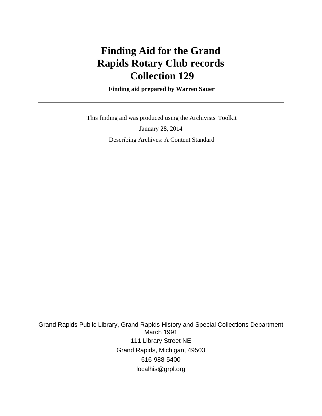# **Finding Aid for the Grand Rapids Rotary Club records Collection 129**

 **Finding aid prepared by Warren Sauer**

 This finding aid was produced using the Archivists' Toolkit January 28, 2014 Describing Archives: A Content Standard

Grand Rapids Public Library, Grand Rapids History and Special Collections Department March 1991 111 Library Street NE Grand Rapids, Michigan, 49503 616-988-5400 localhis@grpl.org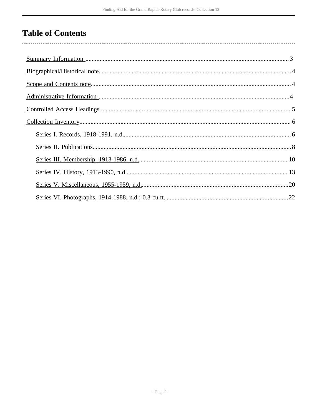# **Table of Contents**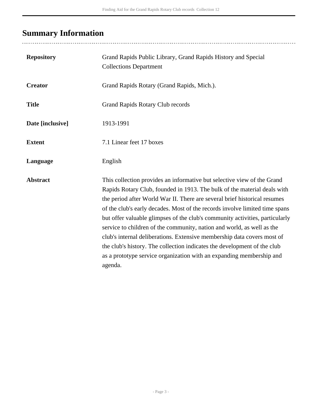# <span id="page-2-0"></span>**Summary Information**

| <b>Repository</b> | Grand Rapids Public Library, Grand Rapids History and Special<br><b>Collections Department</b>                                                                                                                                                                                                                                                                                                                                                                                                                                                                                                                                                                                                                      |
|-------------------|---------------------------------------------------------------------------------------------------------------------------------------------------------------------------------------------------------------------------------------------------------------------------------------------------------------------------------------------------------------------------------------------------------------------------------------------------------------------------------------------------------------------------------------------------------------------------------------------------------------------------------------------------------------------------------------------------------------------|
| <b>Creator</b>    | Grand Rapids Rotary (Grand Rapids, Mich.).                                                                                                                                                                                                                                                                                                                                                                                                                                                                                                                                                                                                                                                                          |
| <b>Title</b>      | Grand Rapids Rotary Club records                                                                                                                                                                                                                                                                                                                                                                                                                                                                                                                                                                                                                                                                                    |
| Date [inclusive]  | 1913-1991                                                                                                                                                                                                                                                                                                                                                                                                                                                                                                                                                                                                                                                                                                           |
| <b>Extent</b>     | 7.1 Linear feet 17 boxes                                                                                                                                                                                                                                                                                                                                                                                                                                                                                                                                                                                                                                                                                            |
| Language          | English                                                                                                                                                                                                                                                                                                                                                                                                                                                                                                                                                                                                                                                                                                             |
| <b>Abstract</b>   | This collection provides an informative but selective view of the Grand<br>Rapids Rotary Club, founded in 1913. The bulk of the material deals with<br>the period after World War II. There are several brief historical resumes<br>of the club's early decades. Most of the records involve limited time spans<br>but offer valuable glimpses of the club's community activities, particularly<br>service to children of the community, nation and world, as well as the<br>club's internal deliberations. Extensive membership data covers most of<br>the club's history. The collection indicates the development of the club<br>as a prototype service organization with an expanding membership and<br>agenda. |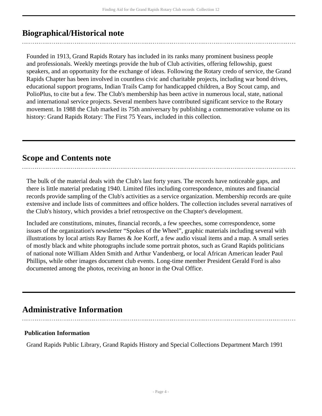## <span id="page-3-0"></span>**Biographical/Historical note**

Founded in 1913, Grand Rapids Rotary has included in its ranks many prominent business people and professionals. Weekly meetings provide the hub of Club activities, offering fellowship, guest speakers, and an opportunity for the exchange of ideas. Following the Rotary credo of service, the Grand Rapids Chapter has been involved in countless civic and charitable projects, including war bond drives, educational support programs, Indian Trails Camp for handicapped children, a Boy Scout camp, and PolioPlus, to cite but a few. The Club's membership has been active in numerous local, state, national and international service projects. Several members have contributed significant service to the Rotary movement. In 1988 the Club marked its 75th anniversary by publishing a commemorative volume on its history: Grand Rapids Rotary: The First 75 Years, included in this collection.

### <span id="page-3-1"></span>**Scope and Contents note**

The bulk of the material deals with the Club's last forty years. The records have noticeable gaps, and there is little material predating 1940. Limited files including correspondence, minutes and financial records provide sampling of the Club's activities as a service organization. Membership records are quite extensive and include lists of committees and office holders. The collection includes several narratives of the Club's history, which provides a brief retrospective on the Chapter's development.

Included are constitutions, minutes, financial records, a few speeches, some correspondence, some issues of the organization's newsletter "Spokes of the Wheel", graphic materials including several with illustrations by local artists Ray Barnes & Joe Korff, a few audio visual items and a map. A small series of mostly black and white photographs include some portrait photos, such as Grand Rapids politicians of national note William Alden Smith and Arthur Vandenberg, or local African American leader Paul Phillips, while other images document club events. Long-time member President Gerald Ford is also documented among the photos, receiving an honor in the Oval Office.

## <span id="page-3-2"></span>**Administrative Information**

#### **Publication Information**

Grand Rapids Public Library, Grand Rapids History and Special Collections Department March 1991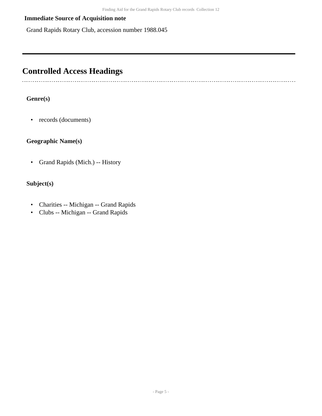#### **Immediate Source of Acquisition note**

Grand Rapids Rotary Club, accession number 1988.045

# <span id="page-4-0"></span>**Controlled Access Headings**

#### **Genre(s)**

• records (documents)

#### **Geographic Name(s)**

• Grand Rapids (Mich.) -- History

#### **Subject(s)**

- Charities -- Michigan -- Grand Rapids
- Clubs -- Michigan -- Grand Rapids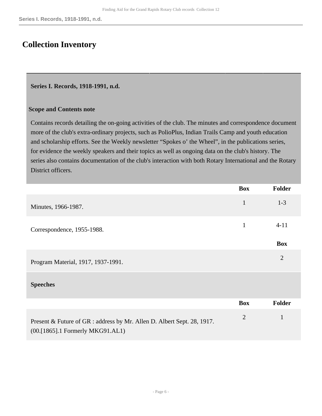## <span id="page-5-0"></span>**Collection Inventory**

#### <span id="page-5-1"></span>**Series I. Records, 1918-1991, n.d.**

#### **Scope and Contents note**

Contains records detailing the on-going activities of the club. The minutes and correspondence document more of the club's extra-ordinary projects, such as PolioPlus, Indian Trails Camp and youth education and scholarship efforts. See the Weekly newsletter "Spokes o' the Wheel", in the publications series, for evidence the weekly speakers and their topics as well as ongoing data on the club's history. The series also contains documentation of the club's interaction with both Rotary International and the Rotary District officers.

|                                                                                                             | <b>Box</b>     | Folder         |
|-------------------------------------------------------------------------------------------------------------|----------------|----------------|
| Minutes, 1966-1987.                                                                                         | $\mathbf{1}$   | $1 - 3$        |
| Correspondence, 1955-1988.                                                                                  | $\mathbf{1}$   | $4 - 11$       |
|                                                                                                             |                | <b>Box</b>     |
| Program Material, 1917, 1937-1991.                                                                          |                | $\overline{2}$ |
| <b>Speeches</b>                                                                                             |                |                |
|                                                                                                             | <b>Box</b>     | <b>Folder</b>  |
| Present & Future of GR : address by Mr. Allen D. Albert Sept. 28, 1917.<br>(00.[1865].1 Formerly MKG91.AL1) | $\overline{2}$ | $\mathbf{1}$   |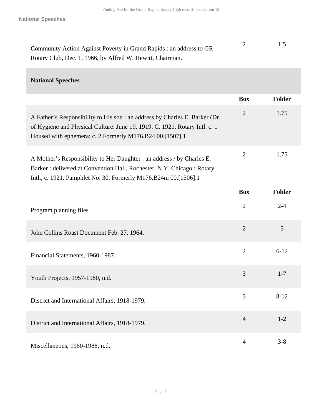| Community Action Against Poverty in Grand Rapids : an address to GR |  |
|---------------------------------------------------------------------|--|
| Rotary Club, Dec. 1, 1966, by Alfred W. Hewitt, Chairman.           |  |

#### **National Speeches**

|                                                                                                                                                                                                                       | <b>Box</b>     | <b>Folder</b> |
|-----------------------------------------------------------------------------------------------------------------------------------------------------------------------------------------------------------------------|----------------|---------------|
| A Father's Responsibility to His son : an address by Charles E. Barker (Dr.<br>of Hygiene and Physical Culture. June 19, 1919. C. 1921. Rotary Intl. c. 1<br>Housed with ephemera; c. 2 Formerly M176.B24 00.[1507].1 | $\overline{2}$ | 1.75          |
| A Mother's Responsibility to Her Daughter : an address / by Charles E.<br>Barker: delivered at Convention Hall, Rochester, N.Y. Chicago: Rotary<br>Intl., c. 1921. Pamphlet No. 30. Formerly M176.B24m 00.[1506].1    | $\overline{2}$ | 1.75          |
|                                                                                                                                                                                                                       | <b>Box</b>     | <b>Folder</b> |
| Program planning files                                                                                                                                                                                                | $\overline{2}$ | $2 - 4$       |
| John Collins Roast Document Feb. 27, 1964.                                                                                                                                                                            | $\overline{2}$ | 5             |
| Financial Statements, 1960-1987.                                                                                                                                                                                      | $\overline{2}$ | $6 - 12$      |
| Youth Projects, 1957-1980, n.d.                                                                                                                                                                                       | 3              | $1 - 7$       |
| District and International Affairs, 1918-1979.                                                                                                                                                                        | 3              | $8 - 12$      |
| District and International Affairs, 1918-1979.                                                                                                                                                                        | $\overline{4}$ | $1 - 2$       |
| Miscellaneous, 1960-1988, n.d.                                                                                                                                                                                        | $\overline{4}$ | $3 - 8$       |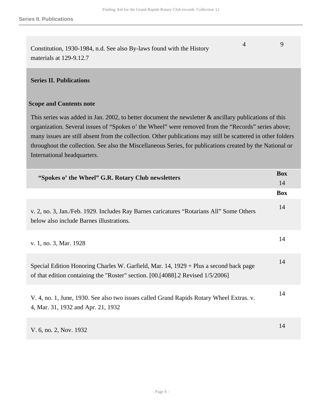Constitution, 1930-1984, n.d. See also By-laws found with the History materials at 129-9.12.7 4 9

#### <span id="page-7-0"></span>**Series II. Publications**

#### **Scope and Contents note**

This series was added in Jan. 2002, to better document the newsletter & ancillary publications of this organization. Several issues of "Spokes o' the Wheel" were removed from the "Records" series above; many issues are still absent from the collection. Other publications may still be scattered in other folders throughout the collection. See also the Miscellaneous Series, for publications created by the National or International headquarters.

| "Spokes o' the Wheel" G.R. Rotary Club newsletters                                                                                                                       | <b>Box</b><br>14 |
|--------------------------------------------------------------------------------------------------------------------------------------------------------------------------|------------------|
|                                                                                                                                                                          | <b>Box</b>       |
| v. 2, no. 3, Jan./Feb. 1929. Includes Ray Barnes caricatures "Rotarians All" Some Others<br>below also include Barnes illustrations.                                     | 14               |
| v. 1, no. 3, Mar. 1928                                                                                                                                                   | 14               |
| Special Edition Honoring Charles W. Garfield, Mar. 14, 1929 + Plus a second back page<br>of that edition containing the "Roster" section. [00.[4088].2 Revised 1/5/2006] | 14               |
| V. 4, no. 1, June, 1930. See also two issues called Grand Rapids Rotary Wheel Extras. v.<br>4, Mar. 31, 1932 and Apr. 21, 1932                                           | 14               |
| V. 6, no. 2, Nov. 1932                                                                                                                                                   | 14               |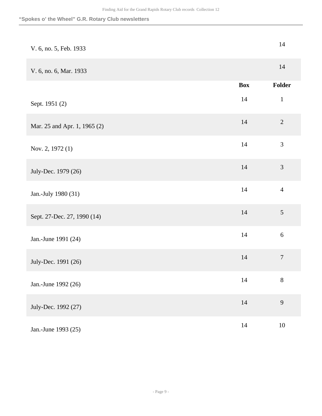#### **"Spokes o' the Wheel" G.R. Rotary Club newsletters**

| V. 6, no. 5, Feb. 1933       |            | $14$             |
|------------------------------|------------|------------------|
| V. 6, no. 6, Mar. 1933       |            | 14               |
|                              | <b>Box</b> | Folder           |
| Sept. 1951 (2)               | 14         | $\mathbf{1}$     |
| Mar. 25 and Apr. 1, 1965 (2) | $14\,$     | $\overline{2}$   |
| Nov. 2, 1972 (1)             | 14         | 3                |
| July-Dec. 1979 (26)          | $14\,$     | 3                |
| Jan.-July 1980 (31)          | $14$       | $\overline{4}$   |
| Sept. 27-Dec. 27, 1990 (14)  | 14         | 5                |
| Jan.-June 1991 (24)          | 14         | $\sqrt{6}$       |
| July-Dec. 1991 (26)          | $14$       | $\boldsymbol{7}$ |
| Jan.-June 1992 (26)          | $14$       | $8\,$            |
| July-Dec. 1992 (27)          | $14\,$     | 9                |
| Jan.-June 1993 (25)          | 14         | $10\,$           |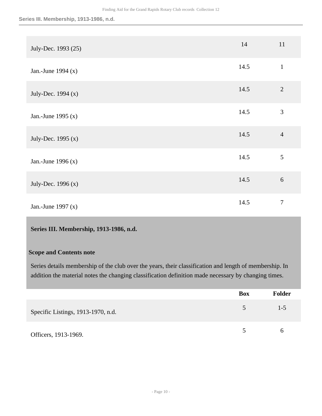| July-Dec. 1993 (25)  | 14   | 11             |
|----------------------|------|----------------|
| Jan.-June 1994 $(x)$ | 14.5 | $\mathbf{1}$   |
| July-Dec. 1994 (x)   | 14.5 | $\overline{2}$ |
| Jan.-June 1995 $(x)$ | 14.5 | $\mathfrak{Z}$ |
| July-Dec. 1995 (x)   | 14.5 | $\overline{4}$ |
| Jan.-June 1996 $(x)$ | 14.5 | 5              |
| July-Dec. $1996(x)$  | 14.5 | 6              |
| Jan.-June 1997 $(x)$ | 14.5 | $\tau$         |

#### <span id="page-9-0"></span>**Series III. Membership, 1913-1986, n.d.**

#### **Scope and Contents note**

Series details membership of the club over the years, their classification and length of membership. In addition the material notes the changing classification definition made necessary by changing times.

|                                    | <b>Box</b>              | <b>Folder</b> |
|------------------------------------|-------------------------|---------------|
| Specific Listings, 1913-1970, n.d. | 5                       | $1 - 5$       |
| Officers, 1913-1969.               | $\overline{\mathbf{S}}$ | h             |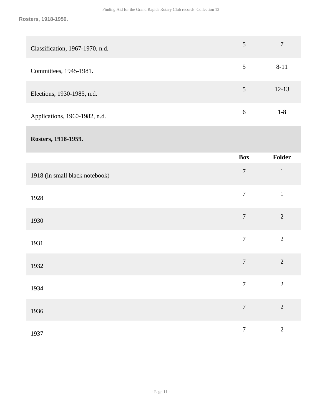| Classification, 1967-1970, n.d. | 5 | 7         |
|---------------------------------|---|-----------|
| Committees, 1945-1981.          | 5 | $8 - 11$  |
| Elections, 1930-1985, n.d.      | 5 | $12 - 13$ |
| Applications, 1960-1982, n.d.   | 6 | $1 - 8$   |
| Rosters, 1918-1959.             |   |           |

|                                | Box              | Folder         |
|--------------------------------|------------------|----------------|
| 1918 (in small black notebook) | $\overline{7}$   | $\mathbf{1}$   |
| 1928                           | $\boldsymbol{7}$ | $\,1\,$        |
| 1930                           | $\overline{7}$   | $\overline{2}$ |
| 1931                           | $\overline{7}$   | $\overline{2}$ |
| 1932                           | $\overline{7}$   | $\overline{2}$ |
| 1934                           | $\overline{7}$   | $\overline{2}$ |
| 1936                           | $\boldsymbol{7}$ | $\overline{2}$ |
| 1937                           | $\overline{7}$   | $\overline{2}$ |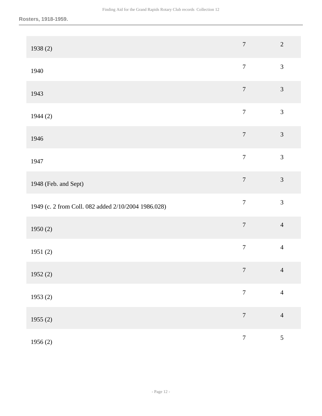| 1938(2)                                             | $\boldsymbol{7}$ | $\overline{2}$ |
|-----------------------------------------------------|------------------|----------------|
| 1940                                                | $\overline{7}$   | $\overline{3}$ |
| 1943                                                | $\boldsymbol{7}$ | $\mathfrak{Z}$ |
| 1944(2)                                             | $\overline{7}$   | $\mathfrak{Z}$ |
| 1946                                                | $\overline{7}$   | $\mathfrak{Z}$ |
| 1947                                                | $\overline{7}$   | $\mathfrak{Z}$ |
| 1948 (Feb. and Sept)                                | $\boldsymbol{7}$ | $\overline{3}$ |
| 1949 (c. 2 from Coll. 082 added 2/10/2004 1986.028) | $\boldsymbol{7}$ | $\overline{3}$ |
| 1950(2)                                             | $\boldsymbol{7}$ | $\overline{4}$ |
| 1951(2)                                             | $\boldsymbol{7}$ | $\overline{4}$ |
| 1952 $(2)$                                          | $\tau$           | $\overline{4}$ |
| 1953(2)                                             | $\boldsymbol{7}$ | $\overline{4}$ |
| 1955(2)                                             | $\boldsymbol{7}$ | $\overline{4}$ |
| 1956(2)                                             | $\boldsymbol{7}$ | 5              |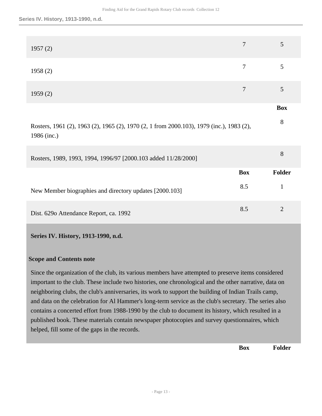| 1957(2)                                                                                                 | 7          | 5              |
|---------------------------------------------------------------------------------------------------------|------------|----------------|
| 1958(2)                                                                                                 | 7          | 5              |
| 1959(2)                                                                                                 | $\tau$     | 5              |
|                                                                                                         |            | <b>Box</b>     |
| Rosters, 1961 (2), 1963 (2), 1965 (2), 1970 (2, 1 from 2000.103), 1979 (inc.), 1983 (2),<br>1986 (inc.) |            | 8              |
| Rosters, 1989, 1993, 1994, 1996/97 [2000.103 added 11/28/2000]                                          |            | 8              |
|                                                                                                         | <b>Box</b> | <b>Folder</b>  |
| New Member biographies and directory updates [2000.103]                                                 | 8.5        | $\mathbf{1}$   |
| Dist. 629o Attendance Report, ca. 1992                                                                  | 8.5        | $\overline{2}$ |

#### <span id="page-12-0"></span>**Series IV. History, 1913-1990, n.d.**

#### **Scope and Contents note**

Since the organization of the club, its various members have attempted to preserve items considered important to the club. These include two histories, one chronological and the other narrative, data on neighboring clubs, the club's anniversaries, its work to support the building of Indian Trails camp, and data on the celebration for Al Hammer's long-term service as the club's secretary. The series also contains a concerted effort from 1988-1990 by the club to document its history, which resulted in a published book. These materials contain newspaper photocopies and survey questionnaires, which helped, fill some of the gaps in the records.

**Box Folder**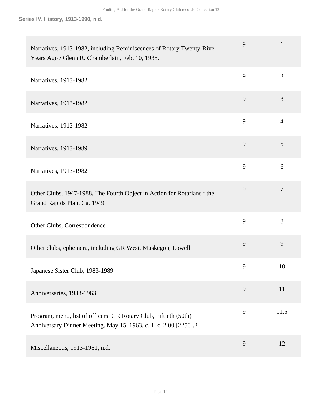| Narratives, 1913-1982, including Reminiscences of Rotary Twenty-Rive<br>Years Ago / Glenn R. Chamberlain, Feb. 10, 1938.            | 9 | $\mathbf 1$    |
|-------------------------------------------------------------------------------------------------------------------------------------|---|----------------|
| Narratives, 1913-1982                                                                                                               | 9 | $\overline{2}$ |
| Narratives, 1913-1982                                                                                                               | 9 | 3              |
| Narratives, 1913-1982                                                                                                               | 9 | $\overline{4}$ |
| Narratives, 1913-1989                                                                                                               | 9 | 5              |
| Narratives, 1913-1982                                                                                                               | 9 | 6              |
| Other Clubs, 1947-1988. The Fourth Object in Action for Rotarians : the<br>Grand Rapids Plan. Ca. 1949.                             | 9 | $\overline{7}$ |
| Other Clubs, Correspondence                                                                                                         | 9 | 8              |
| Other clubs, ephemera, including GR West, Muskegon, Lowell                                                                          | 9 | 9              |
| Japanese Sister Club, 1983-1989                                                                                                     | 9 | 10             |
| Anniversaries, 1938-1963                                                                                                            | 9 | 11             |
| Program, menu, list of officers: GR Rotary Club, Fiftieth (50th)<br>Anniversary Dinner Meeting. May 15, 1963. c. 1, c. 200.[2250].2 | 9 | 11.5           |
| Miscellaneous, 1913-1981, n.d.                                                                                                      | 9 | 12             |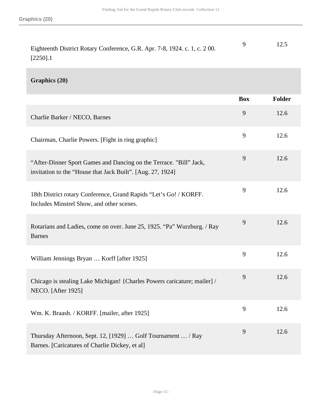| Eighteenth District Rotary Conference, G.R. Apr. 7-8, 1924. c. 1, c. 200. | 12.5 |
|---------------------------------------------------------------------------|------|
| $[2250]$ .1                                                               |      |

#### **Graphics (20)**

|                                                                                                                                  | <b>Box</b> | Folder |
|----------------------------------------------------------------------------------------------------------------------------------|------------|--------|
| Charlie Barker / NECO, Barnes                                                                                                    | 9          | 12.6   |
| Chairman, Charlie Powers. [Fight in ring graphic]                                                                                | 9          | 12.6   |
| "After-Dinner Sport Games and Dancing on the Terrace. "Bill" Jack,<br>invitation to the "House that Jack Built". [Aug. 27, 1924] | 9          | 12.6   |
| 18th District rotary Conference, Grand Rapids "Let's Go! / KORFF.<br>Includes Minstrel Show, and other scenes.                   | 9          | 12.6   |
| Rotarians and Ladies, come on over. June 25, 1925. "Pa" Wurzburg. / Ray<br><b>Barnes</b>                                         | 9          | 12.6   |
| William Jennings Bryan  Korff [after 1925]                                                                                       | 9          | 12.6   |
| Chicago is stealing Lake Michigan! {Charles Powers caricature; mailer] /<br><b>NECO.</b> [After 1925]                            | 9          | 12.6   |
| Wm. K. Braash. / KORFF. [mailer, after 1925]                                                                                     | 9          | 12.6   |
| Thursday Afternoon, Sept. 12, [1929]  Golf Tournament  / Ray<br>Barnes. [Caricatures of Charlie Dickey, et al]                   | 9          | 12.6   |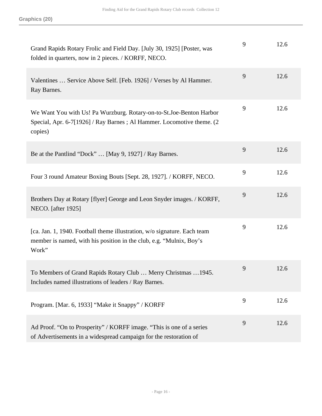| Grand Rapids Rotary Frolic and Field Day. [July 30, 1925] [Poster, was<br>folded in quarters, now in 2 pieces. / KORFF, NECO.                             | 9 | 12.6 |
|-----------------------------------------------------------------------------------------------------------------------------------------------------------|---|------|
| Valentines  Service Above Self. [Feb. 1926] / Verses by Al Hammer.<br>Ray Barnes.                                                                         | 9 | 12.6 |
| We Want You with Us! Pa Wurzburg. Rotary-on-to-St.Joe-Benton Harbor<br>Special, Apr. 6-7[1926] / Ray Barnes ; Al Hammer. Locomotive theme. (2)<br>copies) | 9 | 12.6 |
| Be at the Pantlind "Dock"  [May 9, 1927] / Ray Barnes.                                                                                                    | 9 | 12.6 |
| Four 3 round Amateur Boxing Bouts [Sept. 28, 1927]. / KORFF, NECO.                                                                                        | 9 | 12.6 |
| Brothers Day at Rotary [flyer] George and Leon Snyder images. / KORFF,<br>NECO. [after 1925]                                                              | 9 | 12.6 |
| [ca. Jan. 1, 1940. Football theme illustration, w/o signature. Each team<br>member is named, with his position in the club, e.g. "Mulnix, Boy's<br>Work"  | 9 | 12.6 |
| To Members of Grand Rapids Rotary Club  Merry Christmas  1945.<br>Includes named illustrations of leaders / Ray Barnes.                                   | 9 | 12.6 |
| Program. [Mar. 6, 1933] "Make it Snappy" / KORFF                                                                                                          | 9 | 12.6 |
| Ad Proof. "On to Prosperity" / KORFF image. "This is one of a series<br>of Advertisements in a widespread campaign for the restoration of                 | 9 | 12.6 |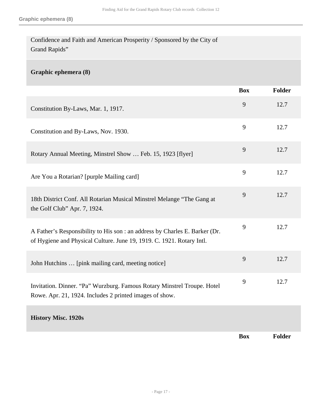Confidence and Faith and American Prosperity / Sponsored by the City of Grand Rapids"

#### **Graphic ephemera (8)**

|                                                                                                                                                      | <b>Box</b> | Folder        |
|------------------------------------------------------------------------------------------------------------------------------------------------------|------------|---------------|
| Constitution By-Laws, Mar. 1, 1917.                                                                                                                  | 9          | 12.7          |
| Constitution and By-Laws, Nov. 1930.                                                                                                                 | 9          | 12.7          |
| Rotary Annual Meeting, Minstrel Show  Feb. 15, 1923 [flyer]                                                                                          | 9          | 12.7          |
| Are You a Rotarian? [purple Mailing card]                                                                                                            | 9          | 12.7          |
| 18th District Conf. All Rotarian Musical Minstrel Melange "The Gang at<br>the Golf Club" Apr. 7, 1924.                                               | 9          | 12.7          |
| A Father's Responsibility to His son : an address by Charles E. Barker (Dr.<br>of Hygiene and Physical Culture. June 19, 1919. C. 1921. Rotary Intl. | 9          | 12.7          |
| John Hutchins  [pink mailing card, meeting notice]                                                                                                   | 9          | 12.7          |
| Invitation. Dinner. "Pa" Wurzburg. Famous Rotary Minstrel Troupe. Hotel<br>Rowe. Apr. 21, 1924. Includes 2 printed images of show.                   | 9          | 12.7          |
| <b>History Misc. 1920s</b>                                                                                                                           |            |               |
|                                                                                                                                                      | <b>Box</b> | <b>Folder</b> |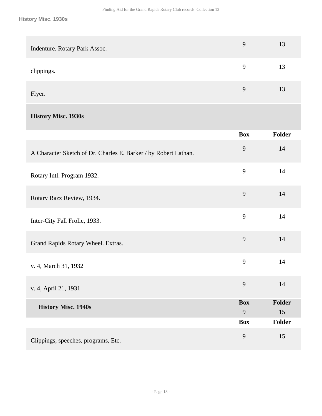| Indenture. Rotary Park Assoc.                                   | 9               | 13           |
|-----------------------------------------------------------------|-----------------|--------------|
| clippings.                                                      | 9               | 13           |
| Flyer.                                                          | 9               | 13           |
| <b>History Misc. 1930s</b>                                      |                 |              |
|                                                                 | <b>Box</b>      | Folder       |
| A Character Sketch of Dr. Charles E. Barker / by Robert Lathan. | 9               | 14           |
| Rotary Intl. Program 1932.                                      | 9               | 14           |
| Rotary Razz Review, 1934.                                       | 9               | 14           |
| Inter-City Fall Frolic, 1933.                                   | 9               | 14           |
| Grand Rapids Rotary Wheel. Extras.                              | 9               | 14           |
| v. 4, March 31, 1932                                            | 9               | 14           |
| v. 4, April 21, 1931                                            | 9               | 14           |
| <b>History Misc. 1940s</b>                                      | <b>Box</b><br>9 | Folder<br>15 |
|                                                                 | <b>Box</b>      | Folder       |
| Clippings, speeches, programs, Etc.                             | 9               | 15           |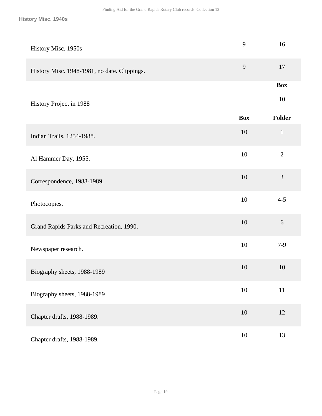| History Misc. 1950s                          | 9          | 16               |
|----------------------------------------------|------------|------------------|
| History Misc. 1948-1981, no date. Clippings. | 9          | 17               |
| History Project in 1988                      |            | <b>Box</b><br>10 |
|                                              | <b>Box</b> | Folder           |
| Indian Trails, 1254-1988.                    | 10         | $\mathbf{1}$     |
| Al Hammer Day, 1955.                         | 10         | $\overline{2}$   |
| Correspondence, 1988-1989.                   | 10         | 3                |
| Photocopies.                                 | 10         | $4 - 5$          |
| Grand Rapids Parks and Recreation, 1990.     | 10         | $6\,$            |
| Newspaper research.                          | 10         | $7-9$            |
| Biography sheets, 1988-1989                  | 10         | 10               |
| Biography sheets, 1988-1989                  | $10\,$     | $11\,$           |
| Chapter drafts, 1988-1989.                   | 10         | 12               |
| Chapter drafts, 1988-1989.                   | $10\,$     | 13               |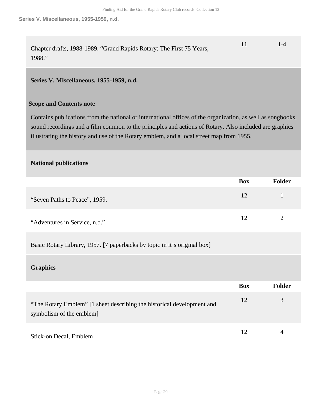| Chapter drafts, 1988-1989. "Grand Rapids Rotary: The First 75 Years, | $1 - 4$ |
|----------------------------------------------------------------------|---------|
| 1988."                                                               |         |

#### <span id="page-19-0"></span>**Series V. Miscellaneous, 1955-1959, n.d.**

#### **Scope and Contents note**

Contains publications from the national or international offices of the organization, as well as songbooks, sound recordings and a film common to the principles and actions of Rotary. Also included are graphics illustrating the history and use of the Rotary emblem, and a local street map from 1955.

#### **National publications**

|                               | <b>Box</b> | <b>Folder</b> |
|-------------------------------|------------|---------------|
| "Seven Paths to Peace", 1959. | 12         |               |
| "Adventures in Service, n.d." | 12         |               |

Basic Rotary Library, 1957. [7 paperbacks by topic in it's original box]

#### **Graphics**

|                                                                                                   | <b>Box</b> | <b>Folder</b> |
|---------------------------------------------------------------------------------------------------|------------|---------------|
| "The Rotary Emblem" [1 sheet describing the historical development and<br>symbolism of the emblem | 12         |               |
| Stick-on Decal, Emblem                                                                            | 12         |               |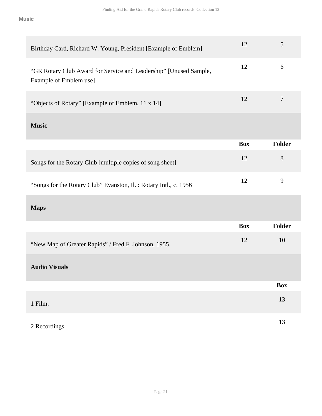| Birthday Card, Richard W. Young, President [Example of Emblem]                              | 12         | 5                |
|---------------------------------------------------------------------------------------------|------------|------------------|
| "GR Rotary Club Award for Service and Leadership" [Unused Sample,<br>Example of Emblem use] | 12         | 6                |
| "Objects of Rotary" [Example of Emblem, 11 x 14]                                            | 12         | $\boldsymbol{7}$ |
| <b>Music</b>                                                                                |            |                  |
|                                                                                             | <b>Box</b> | Folder           |
| Songs for the Rotary Club [multiple copies of song sheet]                                   | 12         | 8                |
| "Songs for the Rotary Club" Evanston, Il. : Rotary Intl., c. 1956                           | 12         | 9                |
| <b>Maps</b>                                                                                 |            |                  |
|                                                                                             | <b>Box</b> | <b>Folder</b>    |
| "New Map of Greater Rapids" / Fred F. Johnson, 1955.                                        | 12         | 10               |
| <b>Audio Visuals</b>                                                                        |            |                  |
|                                                                                             |            | <b>Box</b>       |
| 1 Film.                                                                                     |            | 13               |
| 2 Recordings.                                                                               |            | 13               |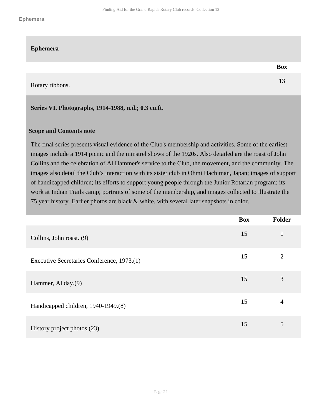#### **Ephemera**

Rotary ribbons. 13

#### <span id="page-21-0"></span>**Series VI. Photographs, 1914-1988, n.d.; 0.3 cu.ft.**

#### **Scope and Contents note**

The final series presents visual evidence of the Club's membership and activities. Some of the earliest images include a 1914 picnic and the minstrel shows of the 1920s. Also detailed are the roast of John Collins and the celebration of Al Hammer's service to the Club, the movement, and the community. The images also detail the Club's interaction with its sister club in Ohmi Hachiman, Japan; images of support of handicapped children; its efforts to support young people through the Junior Rotarian program; its work at Indian Trails camp; portraits of some of the membership, and images collected to illustrate the 75 year history. Earlier photos are black & white, with several later snapshots in color.

|                                            | <b>Box</b> | <b>Folder</b>  |
|--------------------------------------------|------------|----------------|
| Collins, John roast. (9)                   | 15         | $\mathbf{1}$   |
| Executive Secretaries Conference, 1973.(1) | 15         | $\overline{2}$ |
| Hammer, Al day.(9)                         | 15         | 3              |
| Handicapped children, 1940-1949.(8)        | 15         | 4              |
| History project photos. $(23)$             | 15         | 5              |

**Box**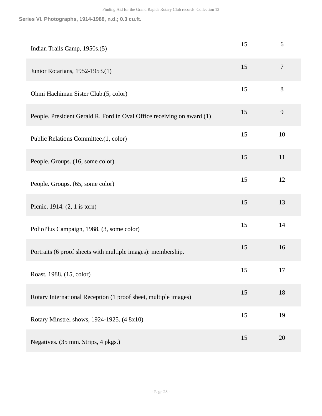**Series VI. Photographs, 1914-1988, n.d.; 0.3 cu.ft.**

| Indian Trails Camp, 1950s.(5)                                          | 15 | 6  |
|------------------------------------------------------------------------|----|----|
| Junior Rotarians, 1952-1953.(1)                                        | 15 | 7  |
| Ohmi Hachiman Sister Club.(5, color)                                   | 15 | 8  |
| People. President Gerald R. Ford in Oval Office receiving on award (1) | 15 | 9  |
| Public Relations Committee.(1, color)                                  | 15 | 10 |
| People. Groups. (16, some color)                                       | 15 | 11 |
| People. Groups. (65, some color)                                       | 15 | 12 |
| Picnic, 1914. (2, 1 is torn)                                           | 15 | 13 |
| PolioPlus Campaign, 1988. (3, some color)                              | 15 | 14 |
| Portraits (6 proof sheets with multiple images): membership.           | 15 | 16 |
| Roast, 1988. (15, color)                                               | 15 | 17 |
| Rotary International Reception (1 proof sheet, multiple images)        | 15 | 18 |
| Rotary Minstrel shows, 1924-1925. (4 8x10)                             | 15 | 19 |
| Negatives. (35 mm. Strips, 4 pkgs.)                                    | 15 | 20 |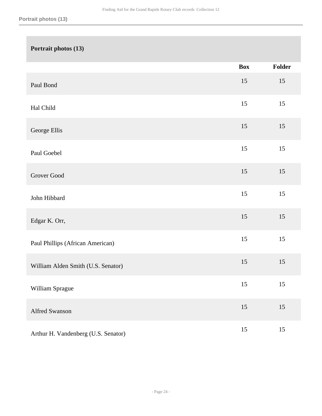# **Portrait photos (13) Box Folder** Paul Bond <sup>15</sup> <sup>15</sup> Hal Child 15 15 George Ellis <sup>15</sup> <sup>15</sup> Paul Goebel 15 15 Grover Good 15 15 John Hibbard <sup>15</sup> <sup>15</sup> Edgar K. Orr, <sup>15</sup> <sup>15</sup> Paul Phillips (African American) 15 15 William Alden Smith (U.S. Senator) 15 15 William Sprague 15 15 Alfred Swanson 15 15 Arthur H. Vandenberg (U.S. Senator) 15 15